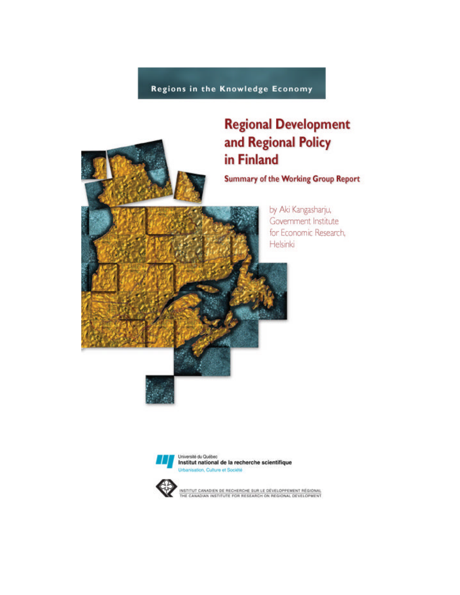Regions in the Knowledge Economy

# **Regional Development** and Regional Policy in Finland

**Summary of the Working Group Report** 



by Aki Kangasharju, Government Institute for Economic Research, Helsinki



Université du Québec Institut national de la recherche scientifique Urbanisation, Culture et Société



INSTITUT CANADIEN DE RECHERCHE SUR LE DÉVELOPPEMENT RÉGIONAL<br>THE CANADIAN INSTITUTE FOR RESEARCH ON REGIONAL DÉVELOPMENT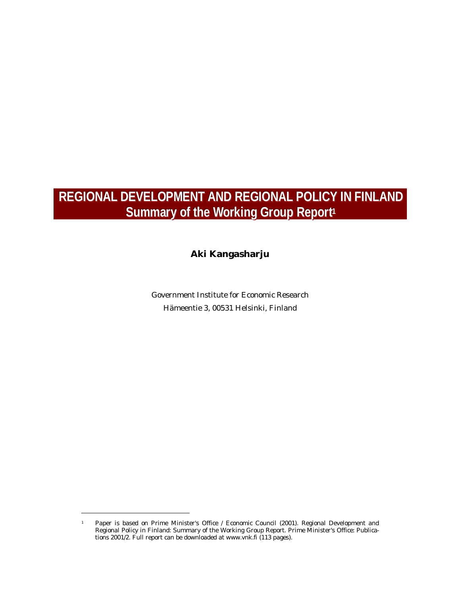# **REGIONAL DEVELOPMENT AND REGIONAL POLICY IN FINLAND Summary of the Workiing Group Report 11**

## **Aki Kangasharju**

Government Institute for Economic Research Hämeentie 3, 00531 Helsinki, Finland

l

<sup>1</sup> Paper is based on Prime Minister's Office / Economic Council (2001). Regional Development and Regional Policy in Finland: Summary of the Working Group Report. Prime Minister's Office: Publications 2001/2. Full report can be downloaded at www.vnk.fi (113 pages).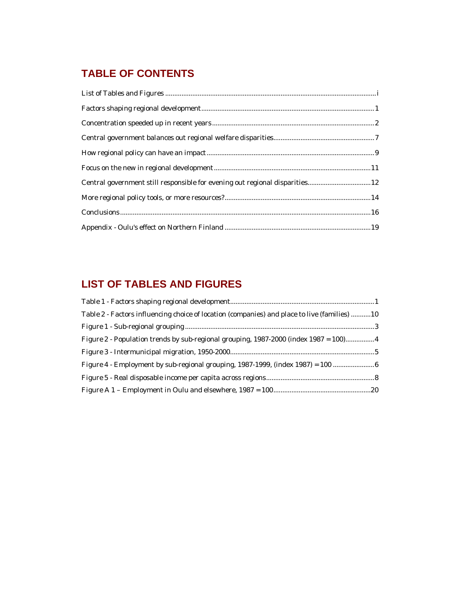## **TABLE OF CONTENTS**

| Central government still responsible for evening out regional disparities 12 |  |
|------------------------------------------------------------------------------|--|
|                                                                              |  |
|                                                                              |  |
|                                                                              |  |

## **LIST OF TABLES AND FIGURES**

| Table 2 - Factors influencing choice of location (companies) and place to live (families) 10 |  |
|----------------------------------------------------------------------------------------------|--|
|                                                                                              |  |
| Figure 2 - Population trends by sub-regional grouping, 1987-2000 (index 1987 = 100)4         |  |
|                                                                                              |  |
| Figure 4 - Employment by sub-regional grouping, 1987-1999, (index 1987) = 100                |  |
|                                                                                              |  |
|                                                                                              |  |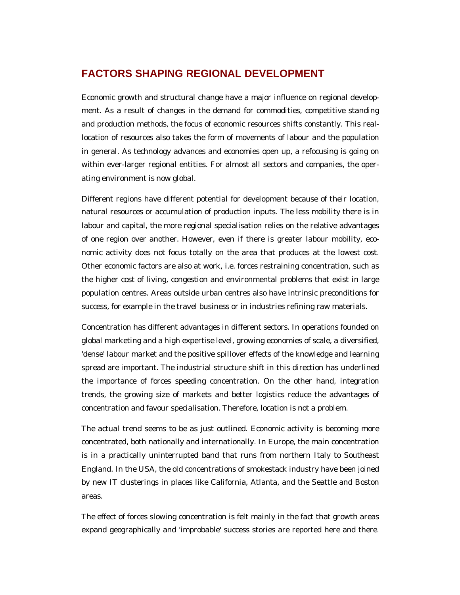## **FACTORS SHAPING REGIONAL DEVELOPMENT**

Economic growth and structural change have a major influence on regional development. As a result of changes in the demand for commodities, competitive standing and production methods, the focus of economic resources shifts constantly. This reallocation of resources also takes the form of movements of labour and the population in general. As technology advances and economies open up, a refocusing is going on within ever-larger regional entities. For almost all sectors and companies, the operating environment is now global.

Different regions have different potential for development because of their location, natural resources or accumulation of production inputs. The less mobility there is in labour and capital, the more regional specialisation relies on the relative advantages of one region over another. However, even if there is greater labour mobility, economic activity does not focus totally on the area that produces at the lowest cost. Other economic factors are also at work, i.e. forces restraining concentration, such as the higher cost of living, congestion and environmental problems that exist in large population centres. Areas outside urban centres also have intrinsic preconditions for success, for example in the travel business or in industries refining raw materials.

Concentration has different advantages in different sectors. In operations founded on global marketing and a high expertise level, growing economies of scale, a diversified, 'dense' labour market and the positive spillover effects of the knowledge and learning spread are important. The industrial structure shift in this direction has underlined the importance of forces speeding concentration. On the other hand, integration trends, the growing size of markets and better logistics reduce the advantages of concentration and favour specialisation. Therefore, location is not a problem.

The actual trend seems to be as just outlined. Economic activity is becoming more concentrated, both nationally and internationally. In Europe, the main concentration is in a practically uninterrupted band that runs from northern Italy to Southeast England. In the USA, the old concentrations of smokestack industry have been joined by new IT clusterings in places like California, Atlanta, and the Seattle and Boston areas.

The effect of forces slowing concentration is felt mainly in the fact that growth areas expand geographically and 'improbable' success stories are reported here and there.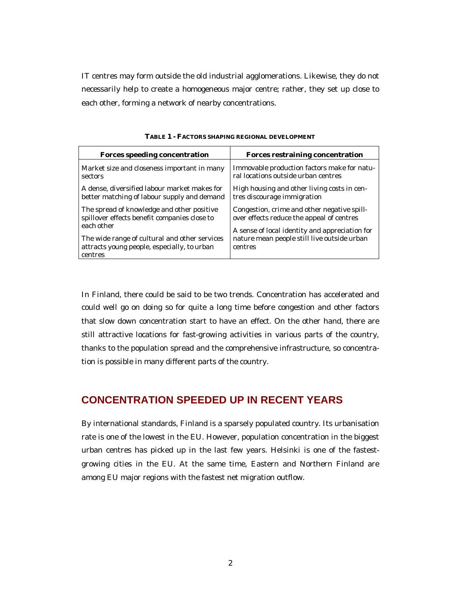IT centres may form outside the old industrial agglomerations. Likewise, they do not necessarily help to create a homogeneous major centre; rather, they set up close to each other, forming a network of nearby concentrations.

| <b>Forces speeding concentration</b>                                                                     | <b>Forces restraining concentration</b>                                                  |
|----------------------------------------------------------------------------------------------------------|------------------------------------------------------------------------------------------|
| Market size and closeness important in many                                                              | Immovable production factors make for natu-                                              |
| sectors                                                                                                  | ral locations outside urban centres                                                      |
| A dense, diversified labour market makes for                                                             | High housing and other living costs in cen-                                              |
| better matching of labour supply and demand                                                              | tres discourage immigration                                                              |
| The spread of knowledge and other positive<br>spillover effects benefit companies close to<br>each other | Congestion, crime and other negative spill-<br>over effects reduce the appeal of centres |
| The wide range of cultural and other services                                                            | A sense of local identity and appreciation for                                           |
| attracts young people, especially, to urban                                                              | nature mean people still live outside urban                                              |
| centres                                                                                                  | centres                                                                                  |

**TABLE 1 - FACTORS SHAPING REGIONAL DEVELOPMENT**

In Finland, there could be said to be two trends. Concentration has accelerated and could well go on doing so for quite a long time before congestion and other factors that slow down concentration start to have an effect. On the other hand, there are still attractive locations for fast-growing activities in various parts of the country, thanks to the population spread and the comprehensive infrastructure, so concentration is possible in many different parts of the country.

#### **CONCENTRATION SPEEDED UP IN RECENT YEARS**

By international standards, Finland is a sparsely populated country. Its urbanisation rate is one of the lowest in the EU. However, population concentration in the biggest urban centres has picked up in the last few years. Helsinki is one of the fastestgrowing cities in the EU. At the same time, Eastern and Northern Finland are among EU major regions with the fastest net migration outflow.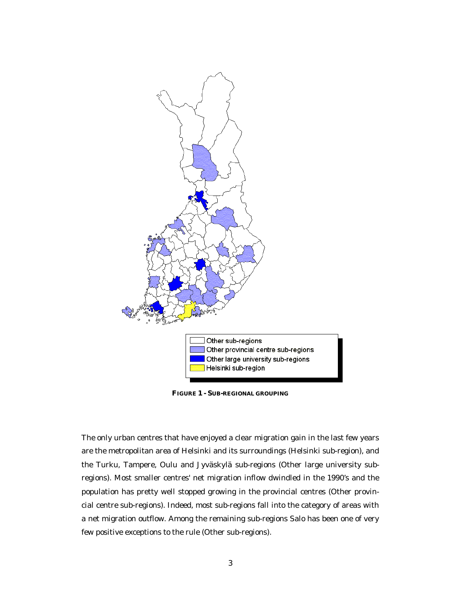

**FIGURE 1 - SUB-REGIONAL GROUPING**

The only urban centres that have enjoyed a clear migration gain in the last few years are the metropolitan area of Helsinki and its surroundings (Helsinki sub-region), and the Turku, Tampere, Oulu and Jyväskylä sub-regions (Other large university subregions). Most smaller centres' net migration inflow dwindled in the 1990's and the population has pretty well stopped growing in the provincial centres (Other provincial centre sub-regions). Indeed, most sub-regions fall into the category of areas with a net migration outflow. Among the remaining sub-regions Salo has been one of very few positive exceptions to the rule (Other sub-regions).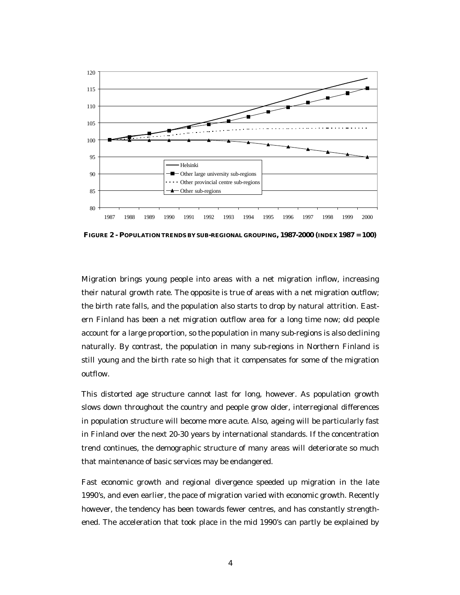

**FIGURE 2 - POPULATION TRENDS BY SUB-REGIONAL GROUPING, 1987-2000 (INDEX 1987 = 100)**

Migration brings young people into areas with a net migration inflow, increasing their natural growth rate. The opposite is true of areas with a net migration outflow; the birth rate falls, and the population also starts to drop by natural attrition. Eastern Finland has been a net migration outflow area for a long time now; old people account for a large proportion, so the population in many sub-regions is also declining naturally. By contrast, the population in many sub-regions in Northern Finland is still young and the birth rate so high that it compensates for some of the migration outflow.

This distorted age structure cannot last for long, however. As population growth slows down throughout the country and people grow older, interregional differences in population structure will become more acute. Also, ageing will be particularly fast in Finland over the next 20-30 years by international standards. If the concentration trend continues, the demographic structure of many areas will deteriorate so much that maintenance of basic services may be endangered.

Fast economic growth and regional divergence speeded up migration in the late 1990's, and even earlier, the pace of migration varied with economic growth. Recently however, the tendency has been towards fewer centres, and has constantly strengthened. The acceleration that took place in the mid 1990's can partly be explained by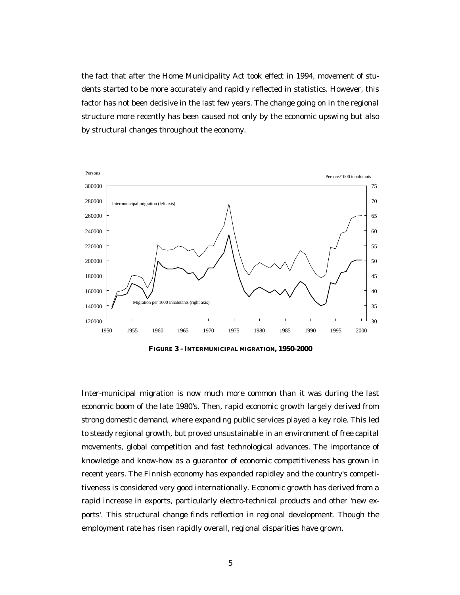the fact that after the Home Municipality Act took effect in 1994, movement of students started to be more accurately and rapidly reflected in statistics. However, this factor has not been decisive in the last few years. The change going on in the regional structure more recently has been caused not only by the economic upswing but also by structural changes throughout the economy.



**FIGURE 3 - INTERMUNICIPAL MIGRATION, 1950-2000**

Inter-municipal migration is now much more common than it was during the last economic boom of the late 1980's. Then, rapid economic growth largely derived from strong domestic demand, where expanding public services played a key role. This led to steady regional growth, but proved unsustainable in an environment of free capital movements, global competition and fast technological advances. The importance of knowledge and know-how as a guarantor of economic competitiveness has grown in recent years. The Finnish economy has expanded rapidley and the country's competitiveness is considered very good internationally. Economic growth has derived from a rapid increase in exports, particularly electro-technical products and other 'new exports'. This structural change finds reflection in regional development. Though the employment rate has risen rapidly overall, regional disparities have grown.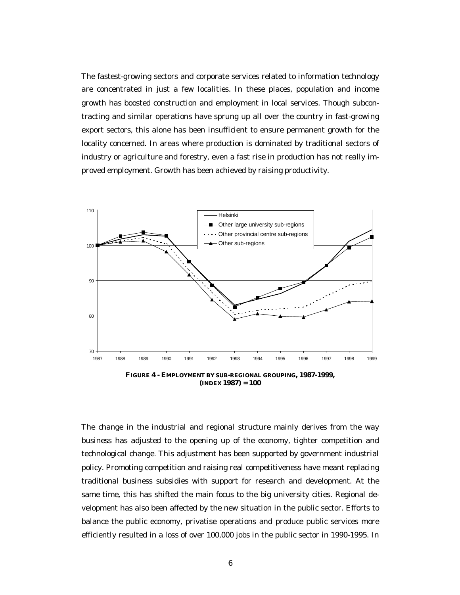The fastest-growing sectors and corporate services related to information technology are concentrated in just a few localities. In these places, population and income growth has boosted construction and employment in local services. Though subcontracting and similar operations have sprung up all over the country in fast-growing export sectors, this alone has been insufficient to ensure permanent growth for the locality concerned. In areas where production is dominated by traditional sectors of industry or agriculture and forestry, even a fast rise in production has not really improved employment. Growth has been achieved by raising productivity.



**(INDEX 1987) = 100**

The change in the industrial and regional structure mainly derives from the way business has adjusted to the opening up of the economy, tighter competition and technological change. This adjustment has been supported by government industrial policy. Promoting competition and raising real competitiveness have meant replacing traditional business subsidies with support for research and development. At the same time, this has shifted the main focus to the big university cities. Regional development has also been affected by the new situation in the public sector. Efforts to balance the public economy, privatise operations and produce public services more efficiently resulted in a loss of over 100,000 jobs in the public sector in 1990-1995. In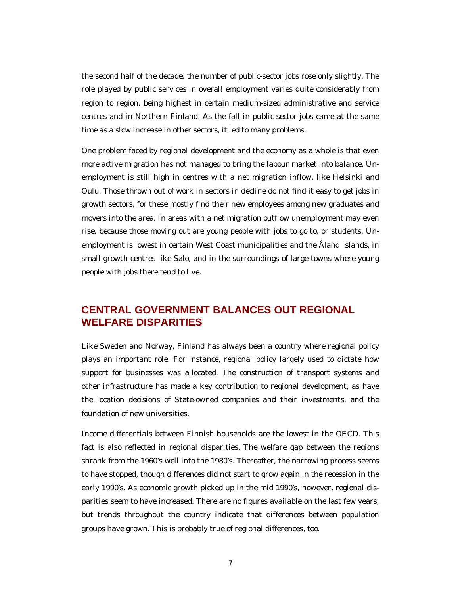the second half of the decade, the number of public-sector jobs rose only slightly. The role played by public services in overall employment varies quite considerably from region to region, being highest in certain medium-sized administrative and service centres and in Northern Finland. As the fall in public-sector jobs came at the same time as a slow increase in other sectors, it led to many problems.

One problem faced by regional development and the economy as a whole is that even more active migration has not managed to bring the labour market into balance. Unemployment is still high in centres with a net migration inflow, like Helsinki and Oulu. Those thrown out of work in sectors in decline do not find it easy to get jobs in growth sectors, for these mostly find their new employees among new graduates and movers into the area. In areas with a net migration outflow unemployment may even rise, because those moving out are young people with jobs to go to, or students. Unemployment is lowest in certain West Coast municipalities and the Åland Islands, in small growth centres like Salo, and in the surroundings of large towns where young people with jobs there tend to live.

## **CENTRAL GOVERNMENT BALANCES OUT REGIONAL WELFARE DISPARITIES**

Like Sweden and Norway, Finland has always been a country where regional policy plays an important role. For instance, regional policy largely used to dictate how support for businesses was allocated. The construction of transport systems and other infrastructure has made a key contribution to regional development, as have the location decisions of State-owned companies and their investments, and the foundation of new universities.

Income differentials between Finnish households are the lowest in the OECD. This fact is also reflected in regional disparities. The welfare gap between the regions shrank from the 1960's well into the 1980's. Thereafter, the narrowing process seems to have stopped, though differences did not start to grow again in the recession in the early 1990's. As economic growth picked up in the mid 1990's, however, regional disparities seem to have increased. There are no figures available on the last few years, but trends throughout the country indicate that differences between population groups have grown. This is probably true of regional differences, too.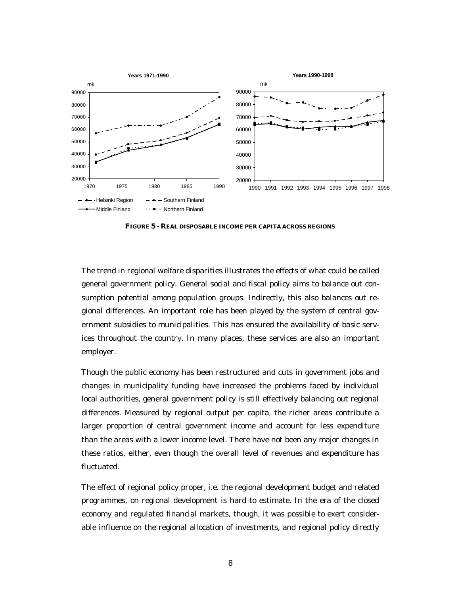

**FIGURE 5 - REAL DISPOSABLE INCOME PER CAPITA ACROSS REGIONS**

The trend in regional welfare disparities illustrates the effects of what could be called general government policy. General social and fiscal policy aims to balance out consumption potential among population groups. Indirectly, this also balances out regional differences. An important role has been played by the system of central government subsidies to municipalities. This has ensured the availability of basic services throughout the country. In many places, these services are also an important employer.

Though the public economy has been restructured and cuts in government jobs and changes in municipality funding have increased the problems faced by individual local authorities, general government policy is still effectively balancing out regional differences. Measured by regional output per capita, the richer areas contribute a larger proportion of central government income and account for less expenditure than the areas with a lower income level. There have not been any major changes in these ratios, either, even though the overall level of revenues and expenditure has fluctuated.

The effect of regional policy proper, i.e. the regional development budget and related programmes, on regional development is hard to estimate. In the era of the closed economy and regulated financial markets, though, it was possible to exert considerable influence on the regional allocation of investments, and regional policy directly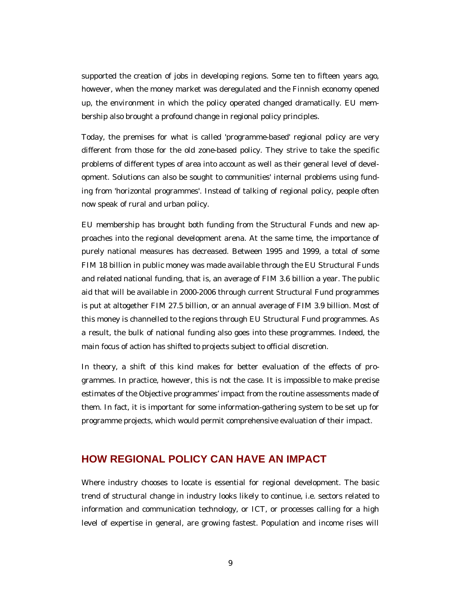supported the creation of jobs in developing regions. Some ten to fifteen years ago, however, when the money market was deregulated and the Finnish economy opened up, the environment in which the policy operated changed dramatically. EU membership also brought a profound change in regional policy principles.

Today, the premises for what is called 'programme-based' regional policy are very different from those for the old zone-based policy. They strive to take the specific problems of different types of area into account as well as their general level of development. Solutions can also be sought to communities' internal problems using funding from 'horizontal programmes'. Instead of talking of regional policy, people often now speak of rural and urban policy.

EU membership has brought both funding from the Structural Funds and new approaches into the regional development arena. At the same time, the importance of purely national measures has decreased. Between 1995 and 1999, a total of some FIM 18 billion in public money was made available through the EU Structural Funds and related national funding, that is, an average of FIM 3.6 billion a year. The public aid that will be available in 2000-2006 through current Structural Fund programmes is put at altogether FIM 27.5 billion, or an annual average of FIM 3.9 billion. Most of this money is channelled to the regions through EU Structural Fund programmes. As a result, the bulk of national funding also goes into these programmes. Indeed, the main focus of action has shifted to projects subject to official discretion.

In theory, a shift of this kind makes for better evaluation of the effects of programmes. In practice, however, this is not the case. It is impossible to make precise estimates of the Objective programmes' impact from the routine assessments made of them. In fact, it is important for some information-gathering system to be set up for programme projects, which would permit comprehensive evaluation of their impact.

#### **HOW REGIONAL POLICY CAN HAVE AN IMPACT**

Where industry chooses to locate is essential for regional development. The basic trend of structural change in industry looks likely to continue, i.e. sectors related to information and communication technology, or ICT, or processes calling for a high level of expertise in general, are growing fastest. Population and income rises will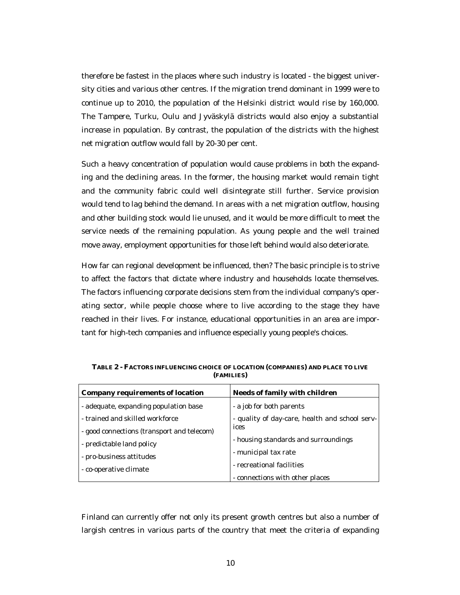therefore be fastest in the places where such industry is located - the biggest university cities and various other centres. If the migration trend dominant in 1999 were to continue up to 2010, the population of the Helsinki district would rise by 160,000. The Tampere, Turku, Oulu and Jyväskylä districts would also enjoy a substantial increase in population. By contrast, the population of the districts with the highest net migration outflow would fall by 20-30 per cent.

Such a heavy concentration of population would cause problems in both the expanding and the declining areas. In the former, the housing market would remain tight and the community fabric could well disintegrate still further. Service provision would tend to lag behind the demand. In areas with a net migration outflow, housing and other building stock would lie unused, and it would be more difficult to meet the service needs of the remaining population. As young people and the well trained move away, employment opportunities for those left behind would also deteriorate.

How far can regional development be influenced, then? The basic principle is to strive to affect the factors that dictate where industry and households locate themselves. The factors influencing corporate decisions stem from the individual company's operating sector, while people choose where to live according to the stage they have reached in their lives. For instance, educational opportunities in an area are important for high-tech companies and influence especially young people's choices.

| <b>Company requirements of location</b>    | <b>Needs of family with children</b>           |
|--------------------------------------------|------------------------------------------------|
| - adequate, expanding population base      | - a job for both parents                       |
| - trained and skilled workforce            | - quality of day-care, health and school serv- |
| - good connections (transport and telecom) | ices                                           |
| - predictable land policy                  | - housing standards and surroundings           |
| - pro-business attitudes                   | - municipal tax rate                           |
| - co-operative climate                     | - recreational facilities                      |
|                                            | - connections with other places                |

**TABLE 2 - FACTORS INFLUENCING CHOICE OF LOCATION (COMPANIES) AND PLACE TO LIVE (FAMILIES)**

Finland can currently offer not only its present growth centres but also a number of largish centres in various parts of the country that meet the criteria of expanding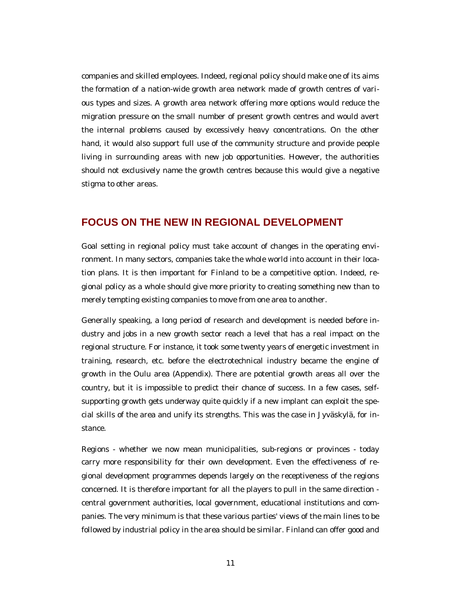companies and skilled employees. Indeed, regional policy should make one of its aims the formation of a nation-wide growth area network made of growth centres of various types and sizes. A growth area network offering more options would reduce the migration pressure on the small number of present growth centres and would avert the internal problems caused by excessively heavy concentrations. On the other hand, it would also support full use of the community structure and provide people living in surrounding areas with new job opportunities. However, the authorities should not exclusively name the growth centres because this would give a negative stigma to other areas.

#### **FOCUS ON THE NEW IN REGIONAL DEVELOPMENT**

Goal setting in regional policy must take account of changes in the operating environment. In many sectors, companies take the whole world into account in their location plans. It is then important for Finland to be a competitive option. Indeed, regional policy as a whole should give more priority to creating something new than to merely tempting existing companies to move from one area to another.

Generally speaking, a long period of research and development is needed before industry and jobs in a new growth sector reach a level that has a real impact on the regional structure. For instance, it took some twenty years of energetic investment in training, research, etc. before the electrotechnical industry became the engine of growth in the Oulu area (Appendix). There are potential growth areas all over the country, but it is impossible to predict their chance of success. In a few cases, selfsupporting growth gets underway quite quickly if a new implant can exploit the special skills of the area and unify its strengths. This was the case in Jyväskylä, for instance.

Regions - whether we now mean municipalities, sub-regions or provinces - today carry more responsibility for their own development. Even the effectiveness of regional development programmes depends largely on the receptiveness of the regions concerned. It is therefore important for all the players to pull in the same direction central government authorities, local government, educational institutions and companies. The very minimum is that these various parties' views of the main lines to be followed by industrial policy in the area should be similar. Finland can offer good and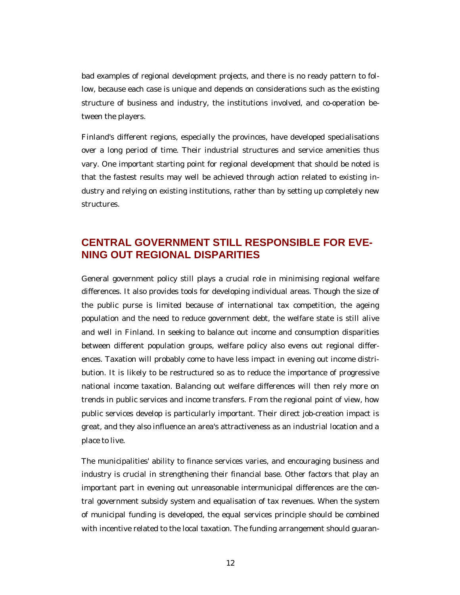bad examples of regional development projects, and there is no ready pattern to follow, because each case is unique and depends on considerations such as the existing structure of business and industry, the institutions involved, and co-operation between the players.

Finland's different regions, especially the provinces, have developed specialisations over a long period of time. Their industrial structures and service amenities thus vary. One important starting point for regional development that should be noted is that the fastest results may well be achieved through action related to existing industry and relying on existing institutions, rather than by setting up completely new structures.

## **CENTRAL GOVERNMENT STILL RESPONSIBLE FOR EVE-NING OUT REGIONAL DISPARITIES**

General government policy still plays a crucial role in minimising regional welfare differences. It also provides tools for developing individual areas. Though the size of the public purse is limited because of international tax competition, the ageing population and the need to reduce government debt, the welfare state is still alive and well in Finland. In seeking to balance out income and consumption disparities between different population groups, welfare policy also evens out regional differences. Taxation will probably come to have less impact in evening out income distribution. It is likely to be restructured so as to reduce the importance of progressive national income taxation. Balancing out welfare differences will then rely more on trends in public services and income transfers. From the regional point of view, how public services develop is particularly important. Their direct job-creation impact is great, and they also influence an area's attractiveness as an industrial location and a place to live.

The municipalities' ability to finance services varies, and encouraging business and industry is crucial in strengthening their financial base. Other factors that play an important part in evening out unreasonable intermunicipal differences are the central government subsidy system and equalisation of tax revenues. When the system of municipal funding is developed, the equal services principle should be combined with incentive related to the local taxation. The funding arrangement should guaran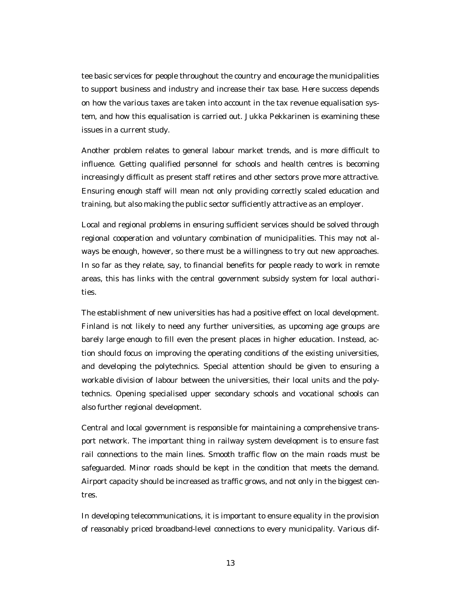tee basic services for people throughout the country and encourage the municipalities to support business and industry and increase their tax base. Here success depends on how the various taxes are taken into account in the tax revenue equalisation system, and how this equalisation is carried out. Jukka Pekkarinen is examining these issues in a current study.

Another problem relates to general labour market trends, and is more difficult to influence. Getting qualified personnel for schools and health centres is becoming increasingly difficult as present staff retires and other sectors prove more attractive. Ensuring enough staff will mean not only providing correctly scaled education and training, but also making the public sector sufficiently attractive as an employer.

Local and regional problems in ensuring sufficient services should be solved through regional cooperation and voluntary combination of municipalities. This may not always be enough, however, so there must be a willingness to try out new approaches. In so far as they relate, say, to financial benefits for people ready to work in remote areas, this has links with the central government subsidy system for local authorities.

The establishment of new universities has had a positive effect on local development. Finland is not likely to need any further universities, as upcoming age groups are barely large enough to fill even the present places in higher education. Instead, action should focus on improving the operating conditions of the existing universities, and developing the polytechnics. Special attention should be given to ensuring a workable division of labour between the universities, their local units and the polytechnics. Opening specialised upper secondary schools and vocational schools can also further regional development.

Central and local government is responsible for maintaining a comprehensive transport network. The important thing in railway system development is to ensure fast rail connections to the main lines. Smooth traffic flow on the main roads must be safeguarded. Minor roads should be kept in the condition that meets the demand. Airport capacity should be increased as traffic grows, and not only in the biggest centres.

In developing telecommunications, it is important to ensure equality in the provision of reasonably priced broadband-level connections to every municipality. Various dif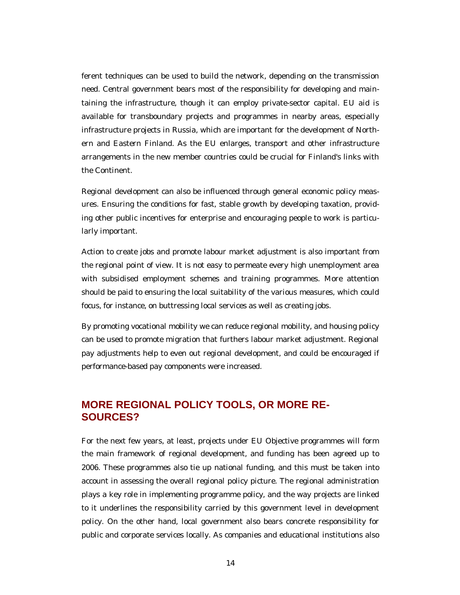ferent techniques can be used to build the network, depending on the transmission need. Central government bears most of the responsibility for developing and maintaining the infrastructure, though it can employ private-sector capital. EU aid is available for transboundary projects and programmes in nearby areas, especially infrastructure projects in Russia, which are important for the development of Northern and Eastern Finland. As the EU enlarges, transport and other infrastructure arrangements in the new member countries could be crucial for Finland's links with the Continent.

Regional development can also be influenced through general economic policy measures. Ensuring the conditions for fast, stable growth by developing taxation, providing other public incentives for enterprise and encouraging people to work is particularly important.

Action to create jobs and promote labour market adjustment is also important from the regional point of view. It is not easy to permeate every high unemployment area with subsidised employment schemes and training programmes. More attention should be paid to ensuring the local suitability of the various measures, which could focus, for instance, on buttressing local services as well as creating jobs.

By promoting vocational mobility we can reduce regional mobility, and housing policy can be used to promote migration that furthers labour market adjustment. Regional pay adjustments help to even out regional development, and could be encouraged if performance-based pay components were increased.

## **MORE REGIONAL POLICY TOOLS, OR MORE RE-SOURCES?**

For the next few years, at least, projects under EU Objective programmes will form the main framework of regional development, and funding has been agreed up to 2006. These programmes also tie up national funding, and this must be taken into account in assessing the overall regional policy picture. The regional administration plays a key role in implementing programme policy, and the way projects are linked to it underlines the responsibility carried by this government level in development policy. On the other hand, local government also bears concrete responsibility for public and corporate services locally. As companies and educational institutions also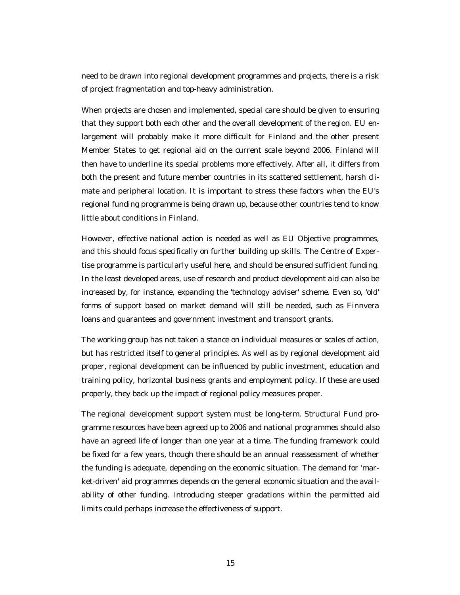need to be drawn into regional development programmes and projects, there is a risk of project fragmentation and top-heavy administration.

When projects are chosen and implemented, special care should be given to ensuring that they support both each other and the overall development of the region. EU enlargement will probably make it more difficult for Finland and the other present Member States to get regional aid on the current scale beyond 2006. Finland will then have to underline its special problems more effectively. After all, it differs from both the present and future member countries in its scattered settlement, harsh climate and peripheral location. It is important to stress these factors when the EU's regional funding programme is being drawn up, because other countries tend to know little about conditions in Finland.

However, effective national action is needed as well as EU Objective programmes, and this should focus specifically on further building up skills. The Centre of Expertise programme is particularly useful here, and should be ensured sufficient funding. In the least developed areas, use of research and product development aid can also be increased by, for instance, expanding the 'technology adviser' scheme. Even so, 'old' forms of support based on market demand will still be needed, such as Finnvera loans and guarantees and government investment and transport grants.

The working group has not taken a stance on individual measures or scales of action, but has restricted itself to general principles. As well as by regional development aid proper, regional development can be influenced by public investment, education and training policy, horizontal business grants and employment policy. If these are used properly, they back up the impact of regional policy measures proper.

The regional development support system must be long-term. Structural Fund programme resources have been agreed up to 2006 and national programmes should also have an agreed life of longer than one year at a time. The funding framework could be fixed for a few years, though there should be an annual reassessment of whether the funding is adequate, depending on the economic situation. The demand for 'market-driven' aid programmes depends on the general economic situation and the availability of other funding. Introducing steeper gradations within the permitted aid limits could perhaps increase the effectiveness of support.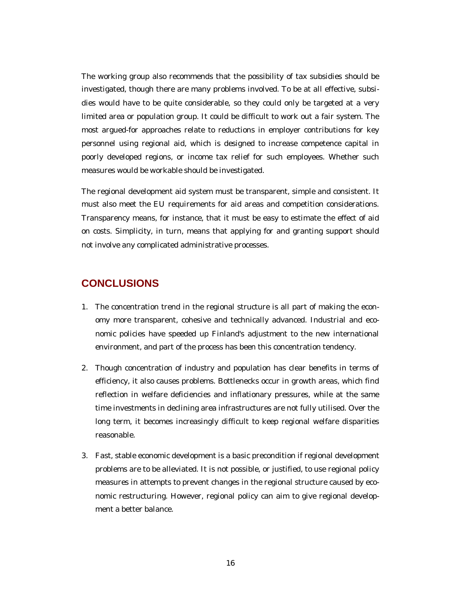The working group also recommends that the possibility of tax subsidies should be investigated, though there are many problems involved. To be at all effective, subsidies would have to be quite considerable, so they could only be targeted at a very limited area or population group. It could be difficult to work out a fair system. The most argued-for approaches relate to reductions in employer contributions for key personnel using regional aid, which is designed to increase competence capital in poorly developed regions, or income tax relief for such employees. Whether such measures would be workable should be investigated.

The regional development aid system must be transparent, simple and consistent. It must also meet the EU requirements for aid areas and competition considerations. Transparency means, for instance, that it must be easy to estimate the effect of aid on costs. Simplicity, in turn, means that applying for and granting support should not involve any complicated administrative processes.

#### **CONCLUSIONS**

- 1. The concentration trend in the regional structure is all part of making the economy more transparent, cohesive and technically advanced. Industrial and economic policies have speeded up Finland's adjustment to the new international environment, and part of the process has been this concentration tendency.
- 2. Though concentration of industry and population has clear benefits in terms of efficiency, it also causes problems. Bottlenecks occur in growth areas, which find reflection in welfare deficiencies and inflationary pressures, while at the same time investments in declining area infrastructures are not fully utilised. Over the long term, it becomes increasingly difficult to keep regional welfare disparities reasonable.
- 3. Fast, stable economic development is a basic precondition if regional development problems are to be alleviated. It is not possible, or justified, to use regional policy measures in attempts to prevent changes in the regional structure caused by economic restructuring. However, regional policy can aim to give regional development a better balance.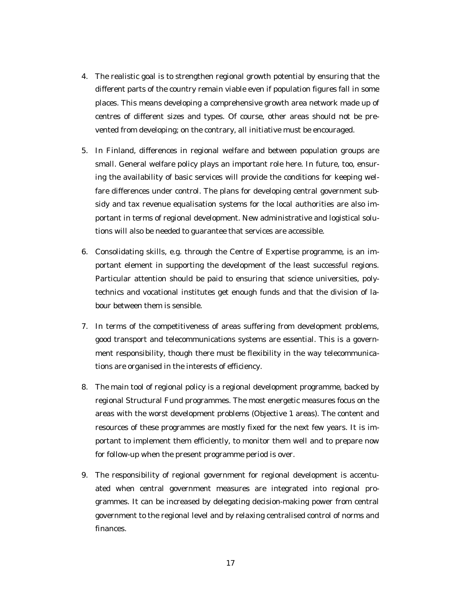- 4. The realistic goal is to strengthen regional growth potential by ensuring that the different parts of the country remain viable even if population figures fall in some places. This means developing a comprehensive growth area network made up of centres of different sizes and types. Of course, other areas should not be prevented from developing; on the contrary, all initiative must be encouraged.
- 5. In Finland, differences in regional welfare and between population groups are small. General welfare policy plays an important role here. In future, too, ensuring the availability of basic services will provide the conditions for keeping welfare differences under control. The plans for developing central government subsidy and tax revenue equalisation systems for the local authorities are also important in terms of regional development. New administrative and logistical solutions will also be needed to guarantee that services are accessible.
- 6. Consolidating skills, e.g. through the Centre of Expertise programme, is an important element in supporting the development of the least successful regions. Particular attention should be paid to ensuring that science universities, polytechnics and vocational institutes get enough funds and that the division of labour between them is sensible.
- 7. In terms of the competitiveness of areas suffering from development problems, good transport and telecommunications systems are essential. This is a government responsibility, though there must be flexibility in the way telecommunications are organised in the interests of efficiency.
- 8. The main tool of regional policy is a regional development programme, backed by regional Structural Fund programmes. The most energetic measures focus on the areas with the worst development problems (Objective 1 areas). The content and resources of these programmes are mostly fixed for the next few years. It is important to implement them efficiently, to monitor them well and to prepare now for follow-up when the present programme period is over.
- 9. The responsibility of regional government for regional development is accentuated when central government measures are integrated into regional programmes. It can be increased by delegating decision-making power from central government to the regional level and by relaxing centralised control of norms and finances.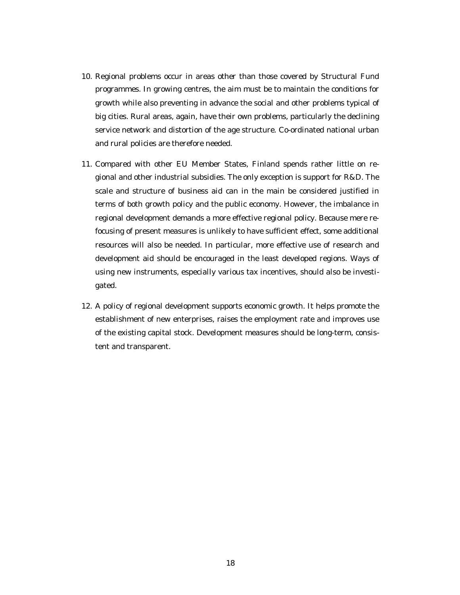- 10. Regional problems occur in areas other than those covered by Structural Fund programmes. In growing centres, the aim must be to maintain the conditions for growth while also preventing in advance the social and other problems typical of big cities. Rural areas, again, have their own problems, particularly the declining service network and distortion of the age structure. Co-ordinated national urban and rural policies are therefore needed.
- 11. Compared with other EU Member States, Finland spends rather little on regional and other industrial subsidies. The only exception is support for R&D. The scale and structure of business aid can in the main be considered justified in terms of both growth policy and the public economy. However, the imbalance in regional development demands a more effective regional policy. Because mere refocusing of present measures is unlikely to have sufficient effect, some additional resources will also be needed. In particular, more effective use of research and development aid should be encouraged in the least developed regions. Ways of using new instruments, especially various tax incentives, should also be investigated.
- 12. A policy of regional development supports economic growth. It helps promote the establishment of new enterprises, raises the employment rate and improves use of the existing capital stock. Development measures should be long-term, consistent and transparent.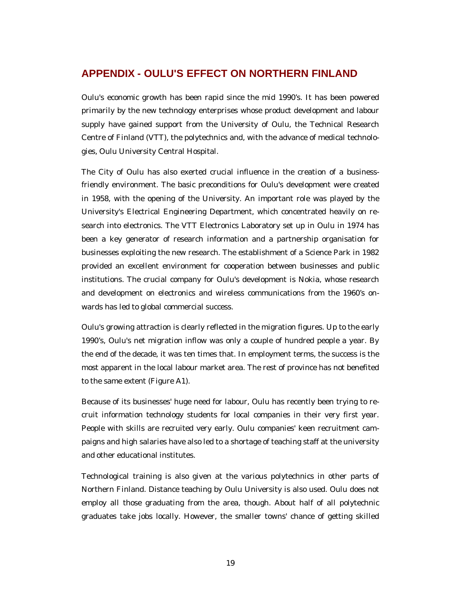### **APPENDIX - OULU'S EFFECT ON NORTHERN FINLAND**

Oulu's economic growth has been rapid since the mid 1990's. It has been powered primarily by the new technology enterprises whose product development and labour supply have gained support from the University of Oulu, the Technical Research Centre of Finland (VTT), the polytechnics and, with the advance of medical technologies, Oulu University Central Hospital.

The City of Oulu has also exerted crucial influence in the creation of a businessfriendly environment. The basic preconditions for Oulu's development were created in 1958, with the opening of the University. An important role was played by the University's Electrical Engineering Department, which concentrated heavily on research into electronics. The VTT Electronics Laboratory set up in Oulu in 1974 has been a key generator of research information and a partnership organisation for businesses exploiting the new research. The establishment of a Science Park in 1982 provided an excellent environment for cooperation between businesses and public institutions. The crucial company for Oulu's development is Nokia, whose research and development on electronics and wireless communications from the 1960's onwards has led to global commercial success.

Oulu's growing attraction is clearly reflected in the migration figures. Up to the early 1990's, Oulu's net migration inflow was only a couple of hundred people a year. By the end of the decade, it was ten times that. In employment terms, the success is the most apparent in the local labour market area. The rest of province has not benefited to the same extent (Figure A1).

Because of its businesses' huge need for labour, Oulu has recently been trying to recruit information technology students for local companies in their very first year. People with skills are recruited very early. Oulu companies' keen recruitment campaigns and high salaries have also led to a shortage of teaching staff at the university and other educational institutes.

Technological training is also given at the various polytechnics in other parts of Northern Finland. Distance teaching by Oulu University is also used. Oulu does not employ all those graduating from the area, though. About half of all polytechnic graduates take jobs locally. However, the smaller towns' chance of getting skilled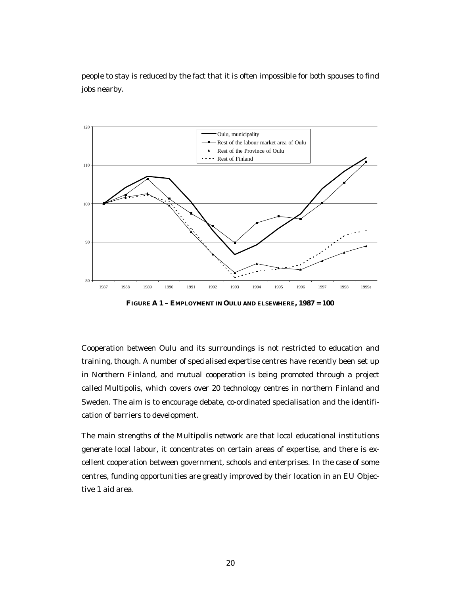people to stay is reduced by the fact that it is often impossible for both spouses to find jobs nearby.



**FIGURE A 1 – EMPLOYMENT IN OULU AND ELSEWHERE, 1987 = 100**

Cooperation between Oulu and its surroundings is not restricted to education and training, though. A number of specialised expertise centres have recently been set up in Northern Finland, and mutual cooperation is being promoted through a project called Multipolis, which covers over 20 technology centres in northern Finland and Sweden. The aim is to encourage debate, co-ordinated specialisation and the identification of barriers to development.

The main strengths of the Multipolis network are that local educational institutions generate local labour, it concentrates on certain areas of expertise, and there is excellent cooperation between government, schools and enterprises. In the case of some centres, funding opportunities are greatly improved by their location in an EU Objective 1 aid area.